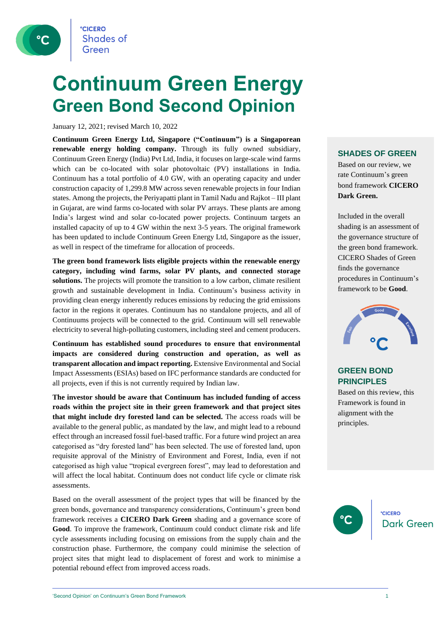

## **Continuum Green Energy Green Bond Second Opinion**

January 12, 2021; revised March 10, 2022

**Continuum Green Energy Ltd, Singapore ("Continuum") is a Singaporean renewable energy holding company.** Through its fully owned subsidiary, Continuum Green Energy (India) Pvt Ltd, India, it focuses on large-scale wind farms which can be co-located with solar photovoltaic (PV) installations in India. Continuum has a total portfolio of 4.0 GW, with an operating capacity and under construction capacity of 1,299.8 MW across seven renewable projects in four Indian states. Among the projects, the Periyapatti plant in Tamil Nadu and Rajkot – III plant in Gujarat, are wind farms co-located with solar PV arrays. These plants are among India's largest wind and solar co-located power projects. Continuum targets an installed capacity of up to 4 GW within the next 3-5 years. The original framework has been updated to include Continuum Green Energy Ltd, Singapore as the issuer, as well in respect of the timeframe for allocation of proceeds.

**The green bond framework lists eligible projects within the renewable energy category, including wind farms, solar PV plants, and connected storage solutions.** The projects will promote the transition to a low carbon, climate resilient growth and sustainable development in India. Continuum's business activity in providing clean energy inherently reduces emissions by reducing the grid emissions factor in the regions it operates. Continuum has no standalone projects, and all of Continuums projects will be connected to the grid. Continuum will sell renewable electricity to several high-polluting customers, including steel and cement producers.

**Continuum has established sound procedures to ensure that environmental impacts are considered during construction and operation, as well as transparent allocation and impact reporting.** Extensive Environmental and Social Impact Assessments (ESIAs) based on IFC performance standards are conducted for all projects, even if this is not currently required by Indian law.

**The investor should be aware that Continuum has included funding of access roads within the project site in their green framework and that project sites that might include dry forested land can be selected.** The access roads will be available to the general public, as mandated by the law, and might lead to a rebound effect through an increased fossil fuel-based traffic. For a future wind project an area categorised as "dry forested land" has been selected. The use of forested land, upon requisite approval of the Ministry of Environment and Forest, India, even if not categorised as high value "tropical evergreen forest", may lead to deforestation and will affect the local habitat. Continuum does not conduct life cycle or climate risk assessments.

Based on the overall assessment of the project types that will be financed by the green bonds, governance and transparency considerations, Continuum's green bond framework receives a **CICERO Dark Green** shading and a governance score of **Good**. To improve the framework, Continuum could conduct climate risk and life cycle assessments including focusing on emissions from the supply chain and the construction phase. Furthermore, the company could minimise the selection of project sites that might lead to displacement of forest and work to minimise a potential rebound effect from improved access roads.

#### **SHADES OF GREEN**

Based on our review, we rate Continuum's green bond framework **CICERO Dark Green.** 

Included in the overall shading is an assessment of the governance structure of the green bond framework. CICERO Shades of Green finds the governance procedures in Continuum's framework to be **Good**.



#### **GREEN BOND PRINCIPLES**

Based on this review, this Framework is found in alignment with the principles.



'Second Opinion' on Continuum's Green Bond Framework 1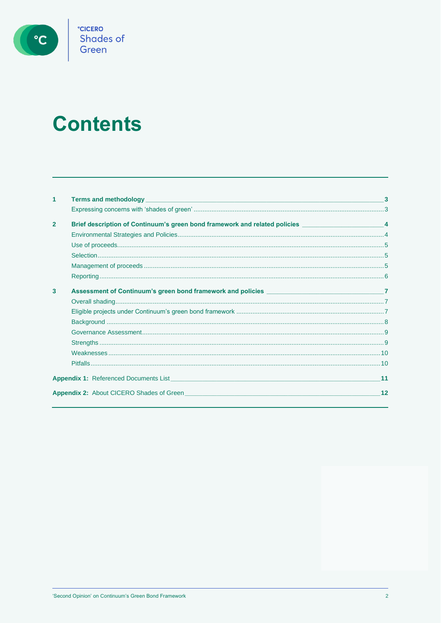

# **Contents**

| 1              |                                                                                                                                                                                                                                           |    |
|----------------|-------------------------------------------------------------------------------------------------------------------------------------------------------------------------------------------------------------------------------------------|----|
|                |                                                                                                                                                                                                                                           |    |
| $\overline{2}$ | Brief description of Continuum's green bond framework and related policies ________________________4                                                                                                                                      |    |
|                |                                                                                                                                                                                                                                           |    |
|                |                                                                                                                                                                                                                                           |    |
|                |                                                                                                                                                                                                                                           |    |
|                |                                                                                                                                                                                                                                           |    |
|                |                                                                                                                                                                                                                                           |    |
| 3              | Assessment of Continuum's green bond framework and policies __________________________________7                                                                                                                                           |    |
|                |                                                                                                                                                                                                                                           |    |
|                |                                                                                                                                                                                                                                           |    |
|                |                                                                                                                                                                                                                                           |    |
|                |                                                                                                                                                                                                                                           |    |
|                |                                                                                                                                                                                                                                           |    |
|                |                                                                                                                                                                                                                                           |    |
|                |                                                                                                                                                                                                                                           |    |
|                | <b>Appendix 1:</b> Referenced Documents List <b>Contract Contract Contract Contract Contract Contract Contract Contract Contract Contract Contract Contract Contract Contract Contract Contract Contract Contract Contract Contract C</b> | 11 |
|                | <b>Appendix 2:</b> About CICERO Shades of Green <b>Contract Contract Contract Contract Contract Contract Contract Contract Contract Contract Contract Contract Contract Contract Contract Contract Contract Contract Contract Contrac</b> | 12 |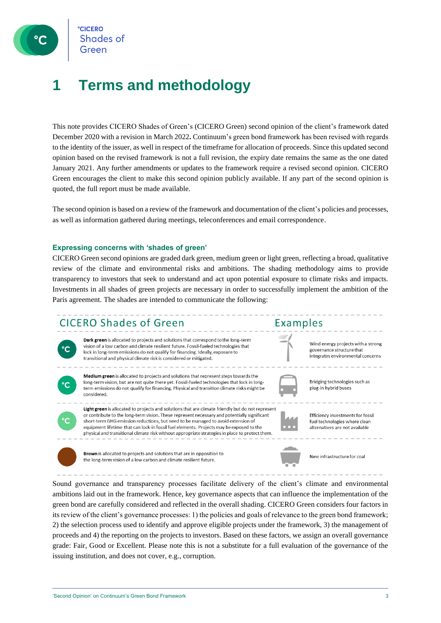**CICERO** Shades of Green

### **1 Terms and methodology**

This note provides CICERO Shades of Green's (CICERO Green) second opinion of the client's framework dated December 2020 with a revision in March 2022**.** Continuum's green bond framework has been revised with regards to the identity of the issuer, as well in respect of the timeframe for allocation of proceeds. Since this updated second opinion based on the revised framework is not a full revision, the expiry date remains the same as the one dated January 2021. Any further amendments or updates to the framework require a revised second opinion. CICERO Green encourages the client to make this second opinion publicly available. If any part of the second opinion is quoted, the full report must be made available.

The second opinion is based on a review of the framework and documentation of the client's policies and processes, as well as information gathered during meetings, teleconferences and email correspondence.

#### **Expressing concerns with 'shades of green'**

CICERO Green second opinions are graded dark green, medium green or light green, reflecting a broad, qualitative review of the climate and environmental risks and ambitions. The shading methodology aims to provide transparency to investors that seek to understand and act upon potential exposure to climate risks and impacts. Investments in all shades of green projects are necessary in order to successfully implement the ambition of the Paris agreement. The shades are intended to communicate the following:

### **CICERO Shades of Green**



Dark green is allocated to projects and solutions that correspond to the long-term vision of a low carbon and climate resilient future. Fossil-fueled technologies that lock in long-term emissions do not qualify for financing. Ideally, exposure to transitional and physical climate risk is considered or mitigated.



Medium green is allocated to projects and solutions that represent steps towards the long-term vision, but are not quite there yet. Fossil-fueled technologies that lock in longterm emissions do not qualify for financing. Physical and transition climate risks might be considered.



Light green is allocated to projects and solutions that are climate friendly but do not represent or contribute to the long-term vision. These represent necessary and potentially significant short-term GHG emission reductions, but need to be managed to avoid extension of equipment lifetime that can lock-in fossil fuel elements. Projects may be exposed to the physical and transitional climate risk without appropriate strategies in place to protect them.



Examples

Efficiency investments for fossil fuel technologies where clean alternatives are not available

Wind energy projects with a strong

integrates environmental concerns

governance structure that

Bridging technologies such as

plug-in hybrid buses



**Brown** is allocated to projects and solutions that are in opposition to the long-term vision of a low carbon and climate resilient future.



Sound governance and transparency processes facilitate delivery of the client's climate and environmental ambitions laid out in the framework. Hence, key governance aspects that can influence the implementation of the green bond are carefully considered and reflected in the overall shading. CICERO Green considers four factors in its review of the client's governance processes: 1) the policies and goals of relevance to the green bond framework; 2) the selection process used to identify and approve eligible projects under the framework, 3) the management of proceeds and 4) the reporting on the projects to investors. Based on these factors, we assign an overall governance grade: Fair, Good or Excellent. Please note this is not a substitute for a full evaluation of the governance of the issuing institution, and does not cover, e.g., corruption.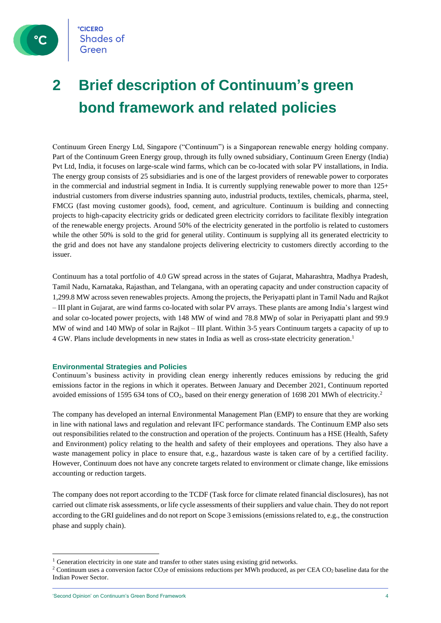

### **2 Brief description of Continuum's green bond framework and related policies**

Continuum Green Energy Ltd, Singapore ("Continuum") is a Singaporean renewable energy holding company. Part of the Continuum Green Energy group, through its fully owned subsidiary, Continuum Green Energy (India) Pvt Ltd, India, it focuses on large-scale wind farms, which can be co-located with solar PV installations, in India. The energy group consists of 25 subsidiaries and is one of the largest providers of renewable power to corporates in the commercial and industrial segment in India. It is currently supplying renewable power to more than  $125+$ industrial customers from diverse industries spanning auto, industrial products, textiles, chemicals, pharma, steel, FMCG (fast moving customer goods), food, cement, and agriculture. Continuum is building and connecting projects to high-capacity electricity grids or dedicated green electricity corridors to facilitate flexibly integration of the renewable energy projects. Around 50% of the electricity generated in the portfolio is related to customers while the other 50% is sold to the grid for general utility. Continuum is supplying all its generated electricity to the grid and does not have any standalone projects delivering electricity to customers directly according to the issuer.

Continuum has a total portfolio of 4.0 GW spread across in the states of Gujarat, Maharashtra, Madhya Pradesh, Tamil Nadu, Karnataka, Rajasthan, and Telangana, with an operating capacity and under construction capacity of 1,299.8 MW across seven renewables projects. Among the projects, the Periyapatti plant in Tamil Nadu and Rajkot – III plant in Gujarat, are wind farms co-located with solar PV arrays. These plants are among India's largest wind and solar co-located power projects, with 148 MW of wind and 78.8 MWp of solar in Periyapatti plant and 99.9 MW of wind and 140 MWp of solar in Rajkot – III plant. Within 3-5 years Continuum targets a capacity of up to 4 GW. Plans include developments in new states in India as well as cross-state electricity generation.<sup>1</sup>

#### **Environmental Strategies and Policies**

Continuum's business activity in providing clean energy inherently reduces emissions by reducing the grid emissions factor in the regions in which it operates. Between January and December 2021, Continuum reported avoided emissions of 1595 634 tons of  $CO<sub>2</sub>$ , based on their energy generation of 1698 201 MWh of electricity.<sup>2</sup>

The company has developed an internal Environmental Management Plan (EMP) to ensure that they are working in line with national laws and regulation and relevant IFC performance standards. The Continuum EMP also sets out responsibilities related to the construction and operation of the projects. Continuum has a HSE (Health, Safety and Environment) policy relating to the health and safety of their employees and operations. They also have a waste management policy in place to ensure that, e.g., hazardous waste is taken care of by a certified facility. However, Continuum does not have any concrete targets related to environment or climate change, like emissions accounting or reduction targets.

The company does not report according to the TCDF (Task force for climate related financial disclosures), has not carried out climate risk assessments, or life cycle assessments of their suppliers and value chain. They do not report according to the GRI guidelines and do not report on Scope 3 emissions (emissions related to, e.g., the construction phase and supply chain).

<sup>&</sup>lt;sup>1</sup> Generation electricity in one state and transfer to other states using existing grid networks.

<sup>&</sup>lt;sup>2</sup> Continuum uses a conversion factor CO<sub>2</sub>e of emissions reductions per MWh produced, as per CEA CO<sub>2</sub> baseline data for the Indian Power Sector.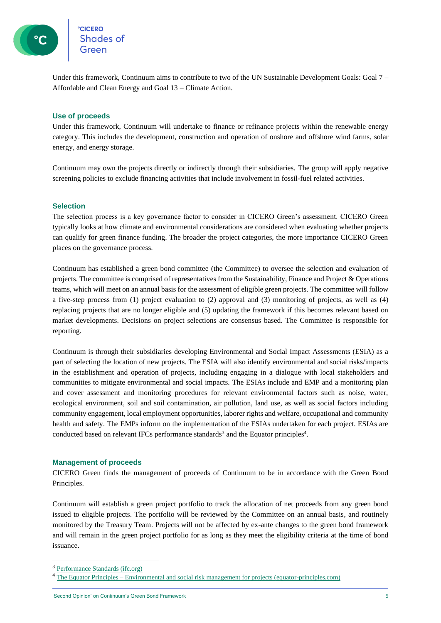Under this framework, Continuum aims to contribute to two of the UN Sustainable Development Goals: Goal 7 – Affordable and Clean Energy and Goal 13 – Climate Action.

#### **Use of proceeds**

Under this framework, Continuum will undertake to finance or refinance projects within the renewable energy category. This includes the development, construction and operation of onshore and offshore wind farms, solar energy, and energy storage.

Continuum may own the projects directly or indirectly through their subsidiaries. The group will apply negative screening policies to exclude financing activities that include involvement in fossil-fuel related activities.

#### **Selection**

The selection process is a key governance factor to consider in CICERO Green's assessment. CICERO Green typically looks at how climate and environmental considerations are considered when evaluating whether projects can qualify for green finance funding. The broader the project categories, the more importance CICERO Green places on the governance process.

Continuum has established a green bond committee (the Committee) to oversee the selection and evaluation of projects. The committee is comprised of representatives from the Sustainability, Finance and Project & Operations teams, which will meet on an annual basis for the assessment of eligible green projects. The committee will follow a five-step process from (1) project evaluation to (2) approval and (3) monitoring of projects, as well as (4) replacing projects that are no longer eligible and (5) updating the framework if this becomes relevant based on market developments. Decisions on project selections are consensus based. The Committee is responsible for reporting.

Continuum is through their subsidiaries developing Environmental and Social Impact Assessments (ESIA) as a part of selecting the location of new projects. The ESIA will also identify environmental and social risks/impacts in the establishment and operation of projects, including engaging in a dialogue with local stakeholders and communities to mitigate environmental and social impacts. The ESIAs include and EMP and a monitoring plan and cover assessment and monitoring procedures for relevant environmental factors such as noise, water, ecological environment, soil and soil contamination, air pollution, land use, as well as social factors including community engagement, local employment opportunities, laborer rights and welfare, occupational and community health and safety. The EMPs inform on the implementation of the ESIAs undertaken for each project. ESIAs are conducted based on relevant IFCs performance standards<sup>3</sup> and the Equator principles<sup>4</sup>.

#### **Management of proceeds**

CICERO Green finds the management of proceeds of Continuum to be in accordance with the Green Bond Principles.

Continuum will establish a green project portfolio to track the allocation of net proceeds from any green bond issued to eligible projects. The portfolio will be reviewed by the Committee on an annual basis, and routinely monitored by the Treasury Team. Projects will not be affected by ex-ante changes to the green bond framework and will remain in the green project portfolio for as long as they meet the eligibility criteria at the time of bond issuance.

<sup>3</sup> [Performance Standards \(ifc.org\)](https://www.ifc.org/wps/wcm/connect/Topics_Ext_Content/IFC_External_Corporate_Site/Sustainability-At-IFC/Policies-Standards/Performance-Standards)

<sup>4</sup> The Equator Principles – [Environmental and social risk management for projects \(equator-principles.com\)](https://equator-principles.com/)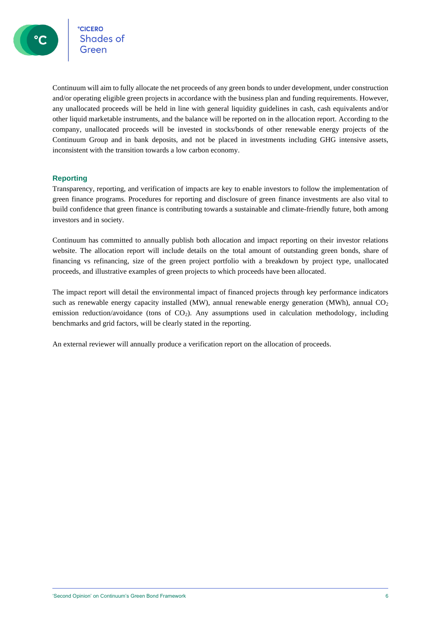**CICERO CICERO**<br>Shades of

Continuum will aim to fully allocate the net proceeds of any green bonds to under development, under construction and/or operating eligible green projects in accordance with the business plan and funding requirements. However, any unallocated proceeds will be held in line with general liquidity guidelines in cash, cash equivalents and/or other liquid marketable instruments, and the balance will be reported on in the allocation report. According to the company, unallocated proceeds will be invested in stocks/bonds of other renewable energy projects of the Continuum Group and in bank deposits, and not be placed in investments including GHG intensive assets, inconsistent with the transition towards a low carbon economy.

#### **Reporting**

Transparency, reporting, and verification of impacts are key to enable investors to follow the implementation of green finance programs. Procedures for reporting and disclosure of green finance investments are also vital to build confidence that green finance is contributing towards a sustainable and climate-friendly future, both among investors and in society.

Continuum has committed to annually publish both allocation and impact reporting on their investor relations website. The allocation report will include details on the total amount of outstanding green bonds, share of financing vs refinancing, size of the green project portfolio with a breakdown by project type, unallocated proceeds, and illustrative examples of green projects to which proceeds have been allocated.

The impact report will detail the environmental impact of financed projects through key performance indicators such as renewable energy capacity installed (MW), annual renewable energy generation (MWh), annual  $CO<sub>2</sub>$ emission reduction/avoidance (tons of  $CO<sub>2</sub>$ ). Any assumptions used in calculation methodology, including benchmarks and grid factors, will be clearly stated in the reporting.

An external reviewer will annually produce a verification report on the allocation of proceeds.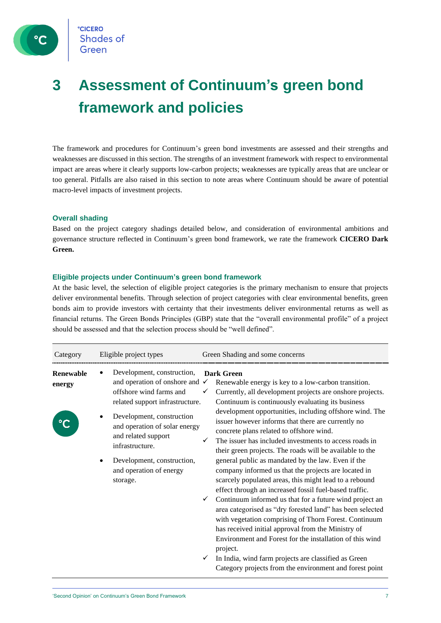

### **3 Assessment of Continuum's green bond framework and policies**

The framework and procedures for Continuum's green bond investments are assessed and their strengths and weaknesses are discussed in this section. The strengths of an investment framework with respect to environmental impact are areas where it clearly supports low-carbon projects; weaknesses are typically areas that are unclear or too general. Pitfalls are also raised in this section to note areas where Continuum should be aware of potential macro-level impacts of investment projects.

#### **Overall shading**

Based on the project category shadings detailed below, and consideration of environmental ambitions and governance structure reflected in Continuum's green bond framework, we rate the framework **CICERO Dark Green.**

#### **Eligible projects under Continuum's green bond framework**

At the basic level, the selection of eligible project categories is the primary mechanism to ensure that projects deliver environmental benefits. Through selection of project categories with clear environmental benefits, green bonds aim to provide investors with certainty that their investments deliver environmental returns as well as financial returns. The Green Bonds Principles (GBP) state that the "overall environmental profile" of a project should be assessed and that the selection process should be "well defined".

| Category            | Eligible project types                                                                                                                                        | Green Shading and some concerns                                                                                                                                                                                                                                                                                                                                                                                                      |
|---------------------|---------------------------------------------------------------------------------------------------------------------------------------------------------------|--------------------------------------------------------------------------------------------------------------------------------------------------------------------------------------------------------------------------------------------------------------------------------------------------------------------------------------------------------------------------------------------------------------------------------------|
| Renewable<br>energy | Development, construction,<br>and operation of onshore and<br>offshore wind farms and<br>related support infrastructure.                                      | Dark Green<br>Renewable energy is key to a low-carbon transition.<br>✓<br>Currently, all development projects are onshore projects.<br>✓<br>Continuum is continuously evaluating its business                                                                                                                                                                                                                                        |
|                     | Development, construction<br>and operation of solar energy<br>and related support<br>infrastructure.<br>Development, construction,<br>and operation of energy | development opportunities, including offshore wind. The<br>issuer however informs that there are currently no<br>concrete plans related to offshore wind.<br>The issuer has included investments to access roads in<br>their green projects. The roads will be available to the<br>general public as mandated by the law. Even if the<br>company informed us that the projects are located in                                        |
|                     | storage.                                                                                                                                                      | scarcely populated areas, this might lead to a rebound<br>effect through an increased fossil fuel-based traffic.<br>Continuum informed us that for a future wind project an<br>✓<br>area categorised as "dry forested land" has been selected<br>with vegetation comprising of Thorn Forest. Continuum<br>has received initial approval from the Ministry of<br>Environment and Forest for the installation of this wind<br>project. |
|                     |                                                                                                                                                               | In India, wind farm projects are classified as Green<br>Category projects from the environment and forest point                                                                                                                                                                                                                                                                                                                      |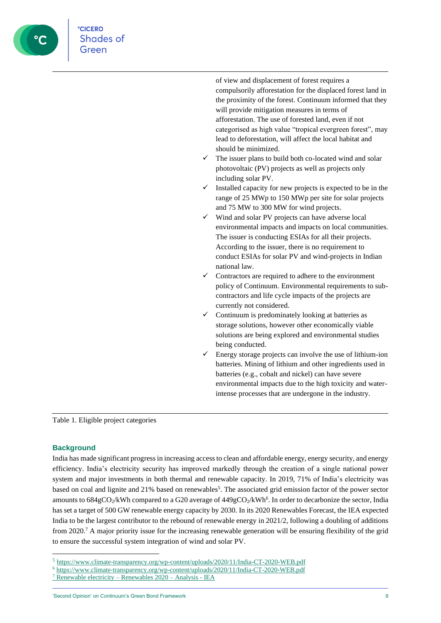

**CICERO** 

of view and displacement of forest requires a compulsorily afforestation for the displaced forest land in the proximity of the forest. Continuum informed that they will provide mitigation measures in terms of afforestation. The use of forested land, even if not categorised as high value "tropical evergreen forest", may lead to deforestation, will affect the local habitat and should be minimized.

- The issuer plans to build both co-located wind and solar photovoltaic (PV) projects as well as projects only including solar PV.
- Installed capacity for new projects is expected to be in the range of 25 MWp to 150 MWp per site for solar projects and 75 MW to 300 MW for wind projects.
- ✓ Wind and solar PV projects can have adverse local environmental impacts and impacts on local communities. The issuer is conducting ESIAs for all their projects. According to the issuer, there is no requirement to conduct ESIAs for solar PV and wind-projects in Indian national law.
- Contractors are required to adhere to the environment policy of Continuum. Environmental requirements to subcontractors and life cycle impacts of the projects are currently not considered.
- ✓ Continuum is predominately looking at batteries as storage solutions, however other economically viable solutions are being explored and environmental studies being conducted.
- Energy storage projects can involve the use of lithium-ion batteries. Mining of lithium and other ingredients used in batteries (e.g., cobalt and nickel) can have severe environmental impacts due to the high toxicity and waterintense processes that are undergone in the industry.

Table 1. Eligible project categories

#### **Background**

India has made significant progress in increasing access to clean and affordable energy, energy security, and energy efficiency. India's electricity security has improved markedly through the creation of a single national power system and major investments in both thermal and renewable capacity. In 2019, 71% of India's electricity was based on coal and lignite and 21% based on renewables<sup>5</sup>. The associated grid emission factor of the power sector amounts to  $684\text{gCO}_2/\text{kWh}$  compared to a G20 average of  $449\text{gCO}_2/\text{kWh}^6$ . In order to decarbonize the sector, India has set a target of 500 GW renewable energy capacity by 2030. In its 2020 Renewables Forecast, the IEA expected India to be the largest contributor to the rebound of renewable energy in 2021/2, following a doubling of additions from 2020.<sup>7</sup> A major priority issue for the increasing renewable generation will be ensuring flexibility of the grid to ensure the successful system integration of wind and solar PV.

<sup>5</sup> <https://www.climate-transparency.org/wp-content/uploads/2020/11/India-CT-2020-WEB.pdf>

<sup>6</sup> <https://www.climate-transparency.org/wp-content/uploads/2020/11/India-CT-2020-WEB.pdf>

<sup>7</sup> [Renewable electricity –](https://www.iea.org/reports/renewables-2020/renewable-electricity-2) Renewables 2020 – Analysis - IEA

<sup>&#</sup>x27;Second Opinion' on Continuum's Green Bond Framework 8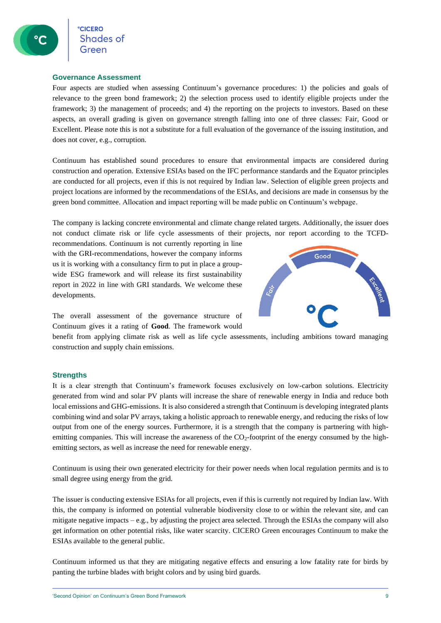**CICERO** Shades of

#### **Governance Assessment**

Four aspects are studied when assessing Continuum's governance procedures: 1) the policies and goals of relevance to the green bond framework; 2) the selection process used to identify eligible projects under the framework; 3) the management of proceeds; and 4) the reporting on the projects to investors. Based on these aspects, an overall grading is given on governance strength falling into one of three classes: Fair, Good or Excellent. Please note this is not a substitute for a full evaluation of the governance of the issuing institution, and does not cover, e.g., corruption.

Continuum has established sound procedures to ensure that environmental impacts are considered during construction and operation. Extensive ESIAs based on the IFC performance standards and the Equator principles are conducted for all projects, even if this is not required by Indian law. Selection of eligible green projects and project locations are informed by the recommendations of the ESIAs, and decisions are made in consensus by the green bond committee. Allocation and impact reporting will be made public on Continuum's webpage.

The company is lacking concrete environmental and climate change related targets. Additionally, the issuer does not conduct climate risk or life cycle assessments of their projects, nor report according to the TCFD-

recommendations. Continuum is not currently reporting in line with the GRI-recommendations, however the company informs us it is working with a consultancy firm to put in place a groupwide ESG framework and will release its first sustainability report in 2022 in line with GRI standards. We welcome these developments.



The overall assessment of the governance structure of Continuum gives it a rating of **Good**. The framework would

benefit from applying climate risk as well as life cycle assessments, including ambitions toward managing construction and supply chain emissions.

#### **Strengths**

It is a clear strength that Continuum's framework focuses exclusively on low-carbon solutions. Electricity generated from wind and solar PV plants will increase the share of renewable energy in India and reduce both local emissions and GHG-emissions. It is also considered a strength that Continuum is developing integrated plants combining wind and solar PV arrays, taking a holistic approach to renewable energy, and reducing the risks of low output from one of the energy sources. Furthermore, it is a strength that the company is partnering with highemitting companies. This will increase the awareness of the CO<sub>2</sub>-footprint of the energy consumed by the highemitting sectors, as well as increase the need for renewable energy.

Continuum is using their own generated electricity for their power needs when local regulation permits and is to small degree using energy from the grid.

The issuer is conducting extensive ESIAs for all projects, even if this is currently not required by Indian law. With this, the company is informed on potential vulnerable biodiversity close to or within the relevant site, and can mitigate negative impacts – e.g., by adjusting the project area selected. Through the ESIAs the company will also get information on other potential risks, like water scarcity. CICERO Green encourages Continuum to make the ESIAs available to the general public.

Continuum informed us that they are mitigating negative effects and ensuring a low fatality rate for birds by panting the turbine blades with bright colors and by using bird guards.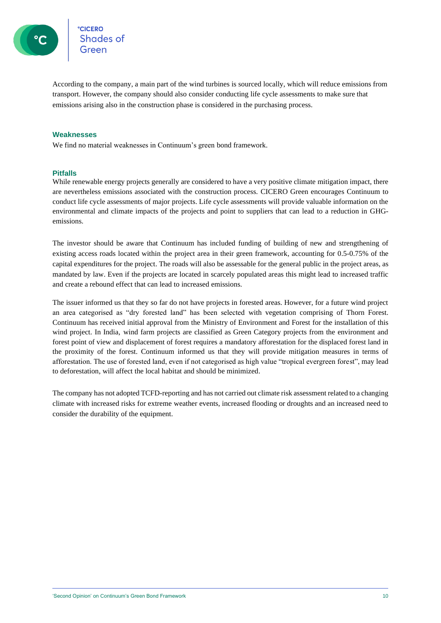

**CICERO** Shades of

According to the company, a main part of the wind turbines is sourced locally, which will reduce emissions from transport. However, the company should also consider conducting life cycle assessments to make sure that emissions arising also in the construction phase is considered in the purchasing process.

#### **Weaknesses**

We find no material weaknesses in Continuum's green bond framework.

#### **Pitfalls**

While renewable energy projects generally are considered to have a very positive climate mitigation impact, there are nevertheless emissions associated with the construction process. CICERO Green encourages Continuum to conduct life cycle assessments of major projects. Life cycle assessments will provide valuable information on the environmental and climate impacts of the projects and point to suppliers that can lead to a reduction in GHGemissions.

The investor should be aware that Continuum has included funding of building of new and strengthening of existing access roads located within the project area in their green framework, accounting for 0.5-0.75% of the capital expenditures for the project. The roads will also be assessable for the general public in the project areas, as mandated by law. Even if the projects are located in scarcely populated areas this might lead to increased traffic and create a rebound effect that can lead to increased emissions.

The issuer informed us that they so far do not have projects in forested areas. However, for a future wind project an area categorised as "dry forested land" has been selected with vegetation comprising of Thorn Forest. Continuum has received initial approval from the Ministry of Environment and Forest for the installation of this wind project. In India, wind farm projects are classified as Green Category projects from the environment and forest point of view and displacement of forest requires a mandatory afforestation for the displaced forest land in the proximity of the forest. Continuum informed us that they will provide mitigation measures in terms of afforestation. The use of forested land, even if not categorised as high value "tropical evergreen forest", may lead to deforestation, will affect the local habitat and should be minimized.

The company has not adopted TCFD-reporting and has not carried out climate risk assessment related to a changing climate with increased risks for extreme weather events, increased flooding or droughts and an increased need to consider the durability of the equipment.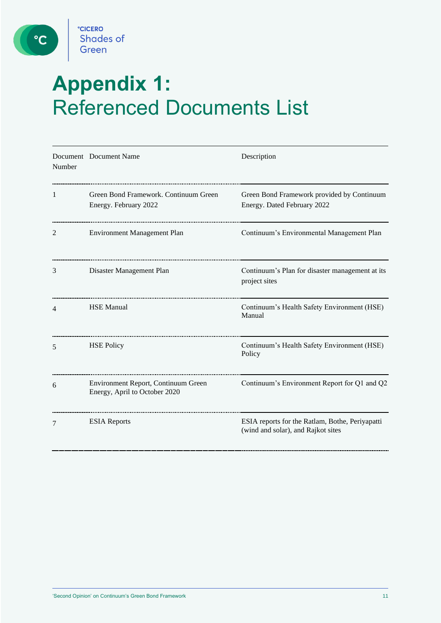

 $\circ$ 

## **Appendix 1:**  Referenced Documents List

| Number | Document Document Name                                               | Description                                                                           |
|--------|----------------------------------------------------------------------|---------------------------------------------------------------------------------------|
| 1      | Green Bond Framework. Continuum Green<br>Energy. February 2022       | Green Bond Framework provided by Continuum<br>Energy. Dated February 2022             |
| 2      | <b>Environment Management Plan</b>                                   | Continuum's Environmental Management Plan                                             |
| 3      | Disaster Management Plan                                             | Continuum's Plan for disaster management at its<br>project sites                      |
| 4      | <b>HSE Manual</b>                                                    | Continuum's Health Safety Environment (HSE)<br>Manual                                 |
| 5      | <b>HSE Policy</b>                                                    | Continuum's Health Safety Environment (HSE)<br>Policy                                 |
| 6      | Environment Report, Continuum Green<br>Energy, April to October 2020 | Continuum's Environment Report for Q1 and Q2                                          |
| 7      | <b>ESIA</b> Reports                                                  | ESIA reports for the Ratlam, Bothe, Periyapatti<br>(wind and solar), and Rajkot sites |